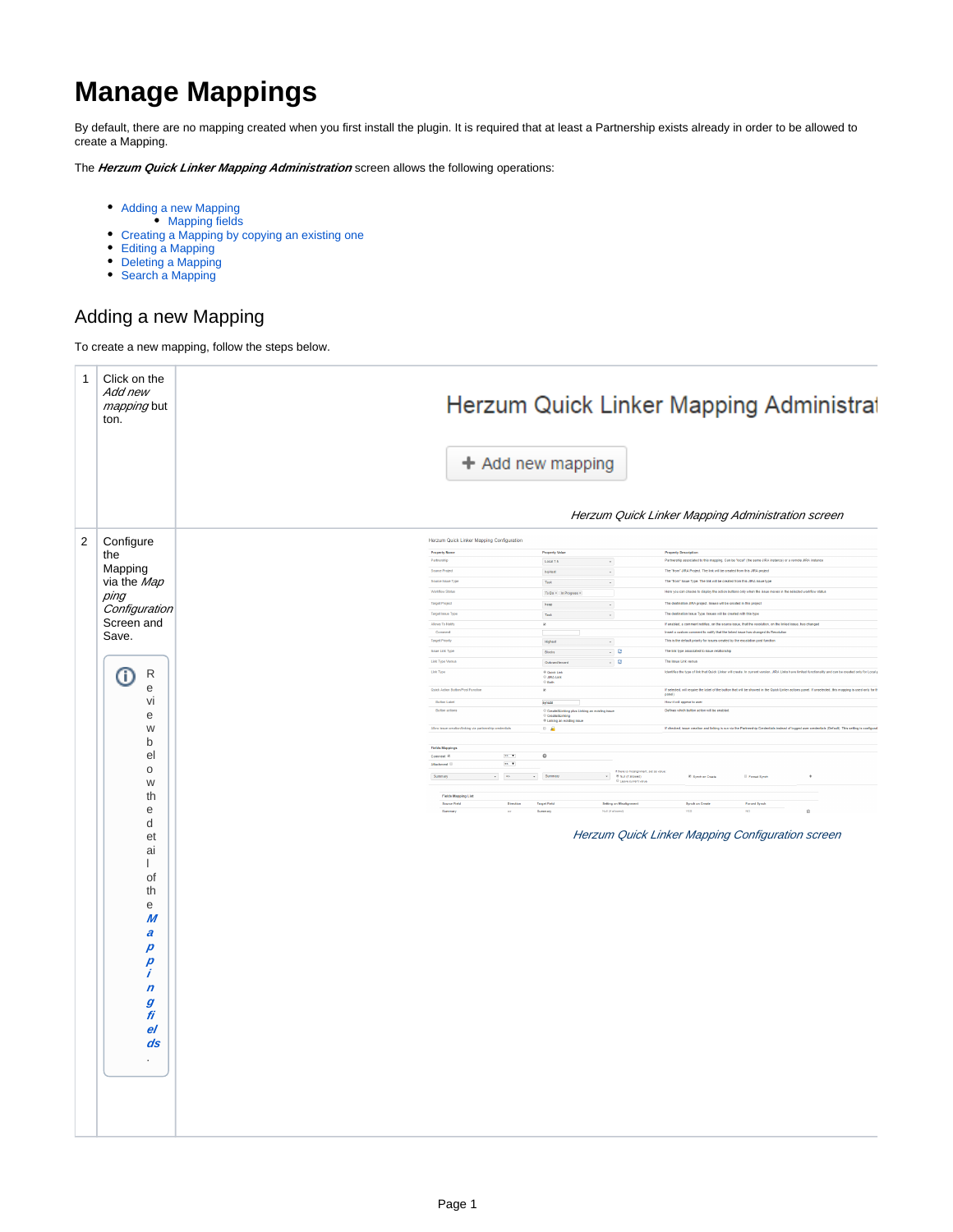# **Manage Mappings**

By default, there are no mapping created when you first install the plugin. It is required that at least a Partnership exists already in order to be allowed to create a Mapping.

The **Herzum Quick Linker Mapping Administration** screen allows the following operations:

- [Adding a new Mapping](#page-0-0)
- [Mapping fields](#page-1-0)
- [Creating a Mapping by copying an existing one](#page-2-0)
- [Editing a Mapping](#page-2-1)
- [Deleting a Mapping](#page-10-0)
- [Search a Mapping](#page-11-0)

### <span id="page-0-0"></span>Adding a new Mapping

To create a new mapping, follow the steps below.

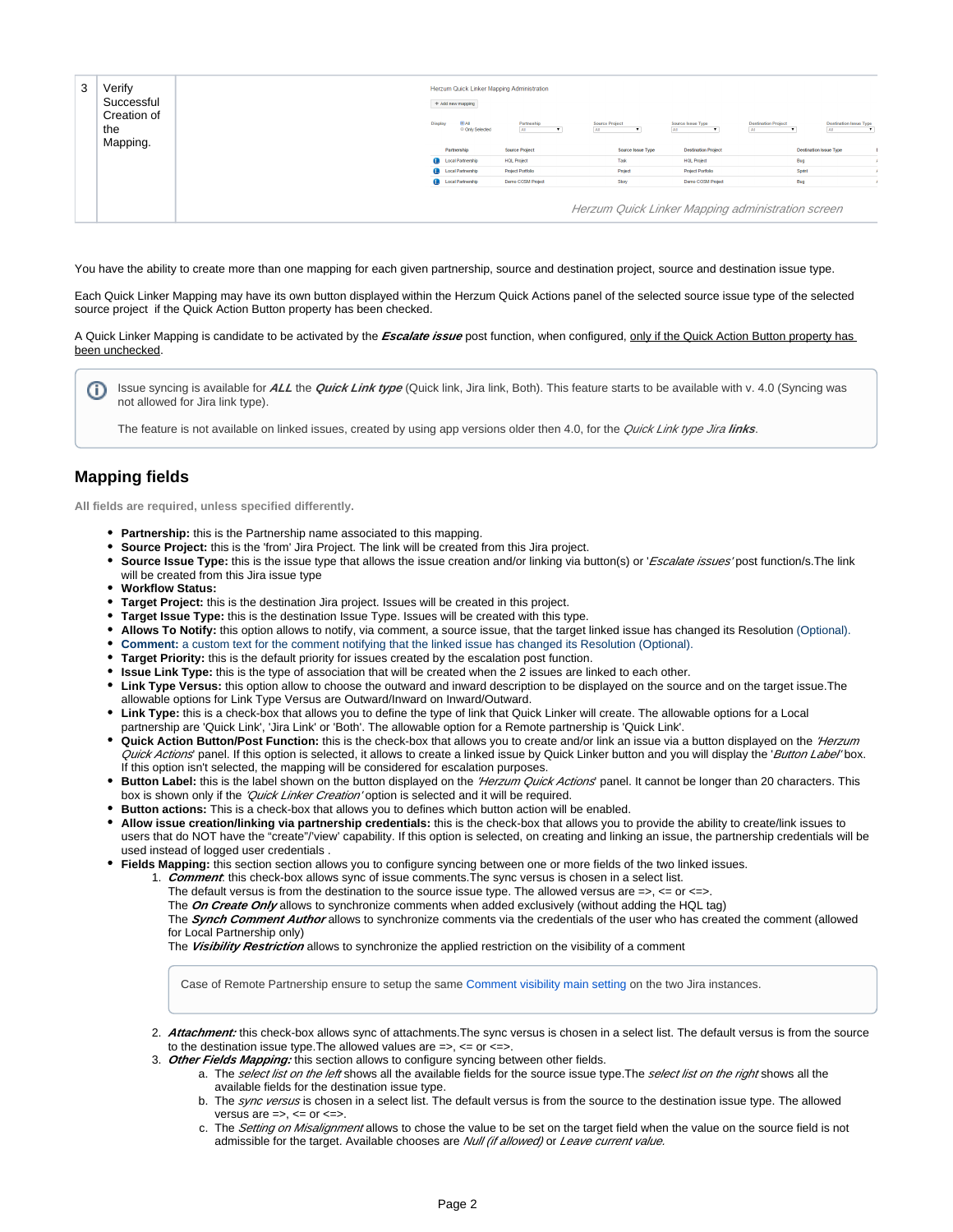| 3 | Verify<br>Successful<br>Creation of<br>the | Herzum Quick Linker Mapping Administration<br>+ Add new mapping<br><b>BAI</b><br>Display<br>Source Project<br><b>Destination Project</b><br>Partneship<br>Source Issue Type<br><b>Destination Issue Type</b><br>© Only Selected<br>AL.<br>AL<br>AL<br>AL.<br>AL. |                          |                       |                   |                            |                                                   |
|---|--------------------------------------------|------------------------------------------------------------------------------------------------------------------------------------------------------------------------------------------------------------------------------------------------------------------|--------------------------|-----------------------|-------------------|----------------------------|---------------------------------------------------|
|   | Mapping.                                   |                                                                                                                                                                                                                                                                  | Partnership              | <b>Source Project</b> | Source Issue Type | <b>Destination Project</b> | <b>Destination Issue Type</b>                     |
|   |                                            |                                                                                                                                                                                                                                                                  | <b>Cocal Partnership</b> | <b>HOL Project</b>    | Task              | <b>HOL Project</b>         | Bug                                               |
|   |                                            |                                                                                                                                                                                                                                                                  | <b>Cocal Partnership</b> | Project Portfolio     | Project           | Project Portfolio          | Sprint                                            |
|   |                                            |                                                                                                                                                                                                                                                                  | <b>Local Partnership</b> | Demo COSM Project     | Story             | Demo COSM Project          | Bug                                               |
|   |                                            |                                                                                                                                                                                                                                                                  |                          |                       |                   |                            | Herzum Quick Linker Mapping administration screen |

You have the ability to create more than one mapping for each given partnership, source and destination project, source and destination issue type.

Each Quick Linker Mapping may have its own button displayed within the Herzum Quick Actions panel of the selected source issue type of the selected source project if the Quick Action Button property has been checked.

A Quick Linker Mapping is candidate to be activated by the **Escalate issue** post function, when configured, only if the Quick Action Button property has been unchecked.

Issue syncing is available for **ALL** the **Quick Link type** (Quick link, Jira link, Both). This feature starts to be available with v. 4.0 (Syncing was G) not allowed for Jira link type).

The feature is not available on linked issues, created by using app versions older then 4.0, for the Quick Link type Jira links.

#### <span id="page-1-0"></span>**Mapping fields**

**All fields are required, unless specified differently.**

- **Partnership:** this is the Partnership name associated to this mapping.
- **Source Project:** this is the 'from' Jira Project. The link will be created from this Jira project.
- **Source Issue Type:** this is the issue type that allows the issue creation and/or linking via button(s) or 'Escalate issues' post function/s. The link will be created from this Jira issue type
- **Workflow Status:**
- **Target Project:** this is the destination Jira project. Issues will be created in this project.
- **Target Issue Type:** this is the destination Issue Type. Issues will be created with this type.
- **Allows To Notify:** this option allows to notify, via comment, a source issue, that the target linked issue has changed its Resolution (Optional).
- **Comment:** a custom text for the comment notifying that the linked issue has changed its Resolution (Optional).
- **Target Priority:** this is the default priority for issues created by the escalation post function.
- **Issue Link Type:** this is the type of association that will be created when the 2 issues are linked to each other.
- **Link Type Versus:** this option allow to choose the outward and inward description to be displayed on the source and on the target issue.The allowable options for Link Type Versus are Outward/Inward on Inward/Outward.
- **Link Type:** this is a check-box that allows you to define the type of link that Quick Linker will create. The allowable options for a Local partnership are 'Quick Link', 'Jira Link' or 'Both'. The allowable option for a Remote partnership is 'Quick Link'.
- Quick Action Button/Post Function: this is the check-box that allows you to create and/or link an issue via a button displayed on the 'Herzum Quick Actions' panel. If this option is selected, it allows to create a linked issue by Quick Linker button and you will display the 'Button Label'box. If this option isn't selected, the mapping will be considered for escalation purposes.
- **Button Label:** this is the label shown on the button displayed on the 'Herzum Quick Actions' panel. It cannot be longer than 20 characters. This box is shown only if the 'Quick Linker Creation' option is selected and it will be required.
- **Button actions:** This is a check-box that allows you to defines which button action will be enabled.
- **Allow issue creation/linking via partnership credentials:** this is the check-box that allows you to provide the ability to create/link issues to users that do NOT have the "create"/'view' capability. If this option is selected, on creating and linking an issue, the partnership credentials will be used instead of logged user credentials .
- **Fields Mapping:** this section section allows you to configure syncing between one or more fields of the two linked issues.

1. **Comment**: this check-box allows sync of issue comments.The sync versus is chosen in a select list.

- The default versus is from the destination to the source issue type. The allowed versus are  $\Rightarrow$ ,  $\lt =$  or  $\lt =$  $\gt$ .
- The **On Create Only** allows to synchronize comments when added exclusively (without adding the HQL tag)

The **Synch Comment Author** allows to synchronize comments via the credentials of the user who has created the comment (allowed for Local Partnership only)

The **Visibility Restriction** allows to synchronize the applied restriction on the visibility of a comment

Case of Remote Partnership ensure to setup the same [Comment visibility main setting](https://confluence.atlassian.com/adminjiraserver073/configuring-jira-application-options-861253962.html) on the two Jira instances.

- 2. **Attachment:** this check-box allows sync of attachments.The sync versus is chosen in a select list. The default versus is from the source to the destination issue type. The allowed values are  $\Rightarrow$ ,  $\lt$ = or  $\lt$ =>.
- 3. **Other Fields Mapping:** this section allows to configure syncing between other fields.
	- a. The select list on the left shows all the available fields for the source issue type.The select list on the right shows all the available fields for the destination issue type.
	- b. The *sync versus* is chosen in a select list. The default versus is from the source to the destination issue type. The allowed versus are  $\Rightarrow$ ,  $\lt =$  or  $\lt =$ .
	- c. The Setting on Misalignment allows to chose the value to be set on the target field when the value on the source field is not admissible for the target. Available chooses are Null (if allowed) or Leave current value.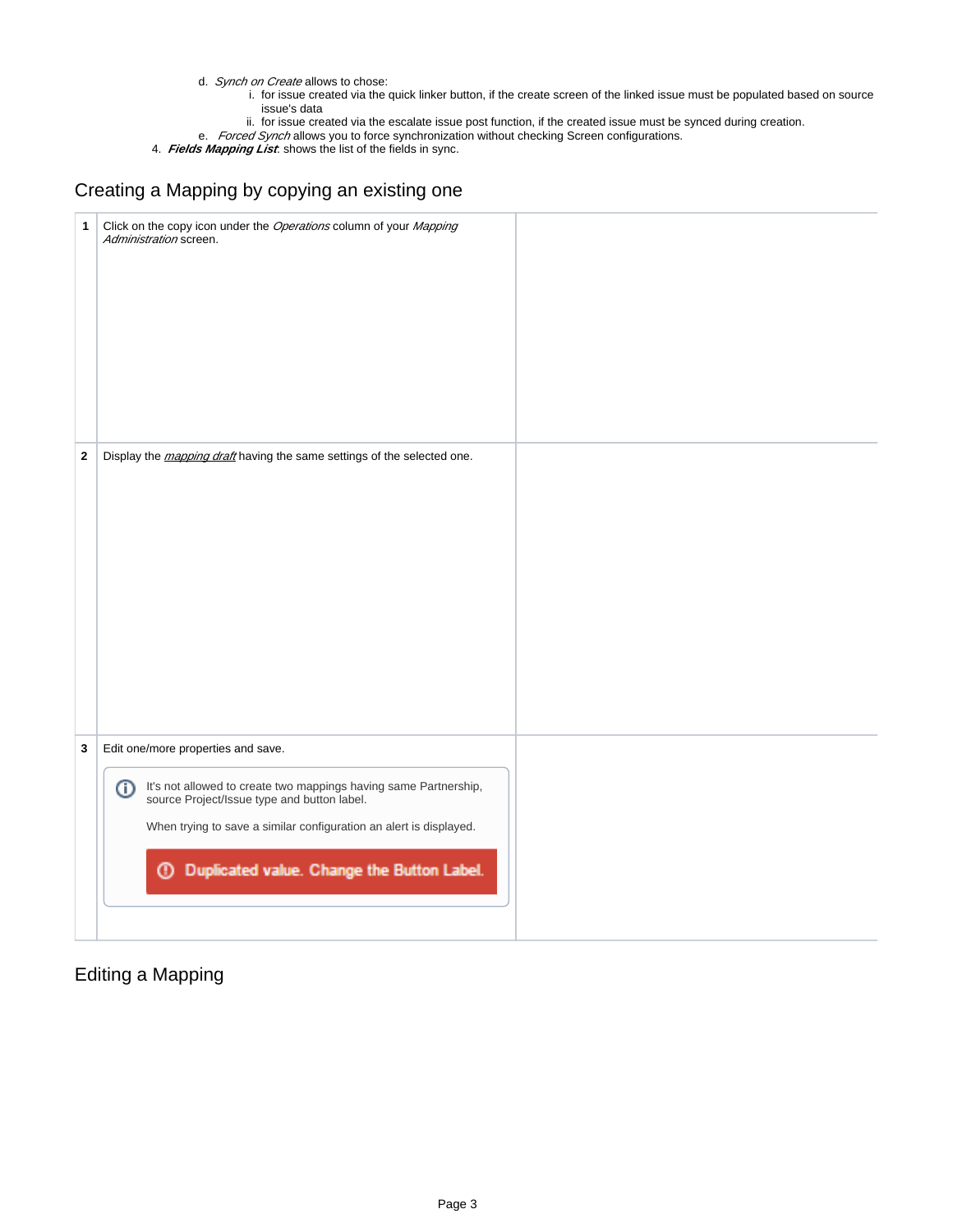- d. Synch on Create allows to chose:
	- i. for issue created via the quick linker button, if the create screen of the linked issue must be populated based on source issue's data
	- ii. for issue created via the escalate issue post function, if the created issue must be synced during creation.
- e. *Forced Synch* allows you to force synchronization without checking Screen configurations.

4. **Fields Mapping List**: shows the list of the fields in sync.

### <span id="page-2-0"></span>Creating a Mapping by copying an existing one

| $\mathbf{1}$ | Click on the copy icon under the Operations column of your Mapping<br>Administration screen.                                                                                                                                                                                                |  |
|--------------|---------------------------------------------------------------------------------------------------------------------------------------------------------------------------------------------------------------------------------------------------------------------------------------------|--|
| $\mathbf 2$  | Display the <i>mapping draft</i> having the same settings of the selected one.                                                                                                                                                                                                              |  |
| 3            | Edit one/more properties and save.<br>It's not allowed to create two mappings having same Partnership, source Project/Issue type and button label.<br>⊕<br>When trying to save a similar configuration an alert is displayed.<br>Duplicated value. Change the Button Label.<br>$^\circledR$ |  |

### <span id="page-2-1"></span>Editing a Mapping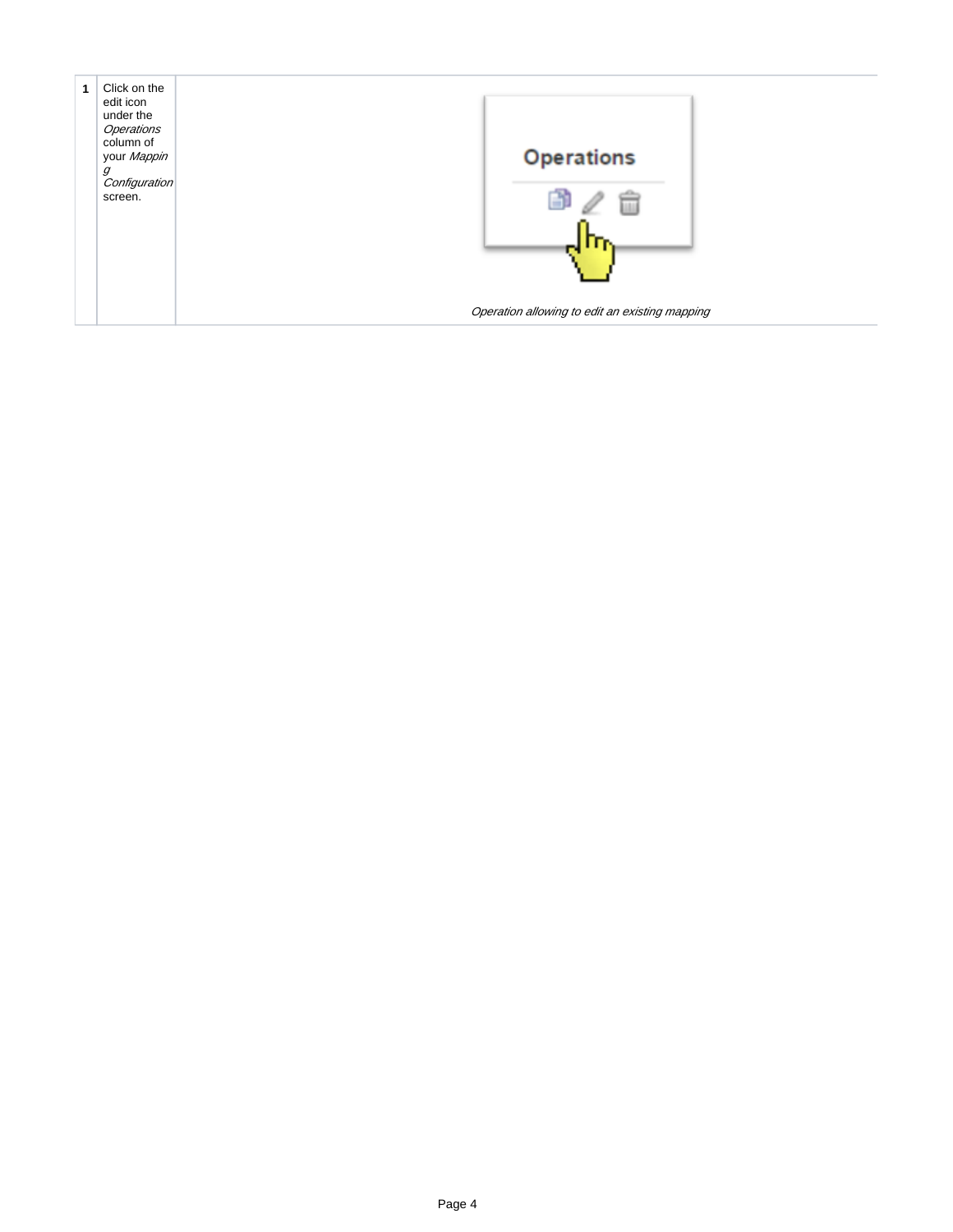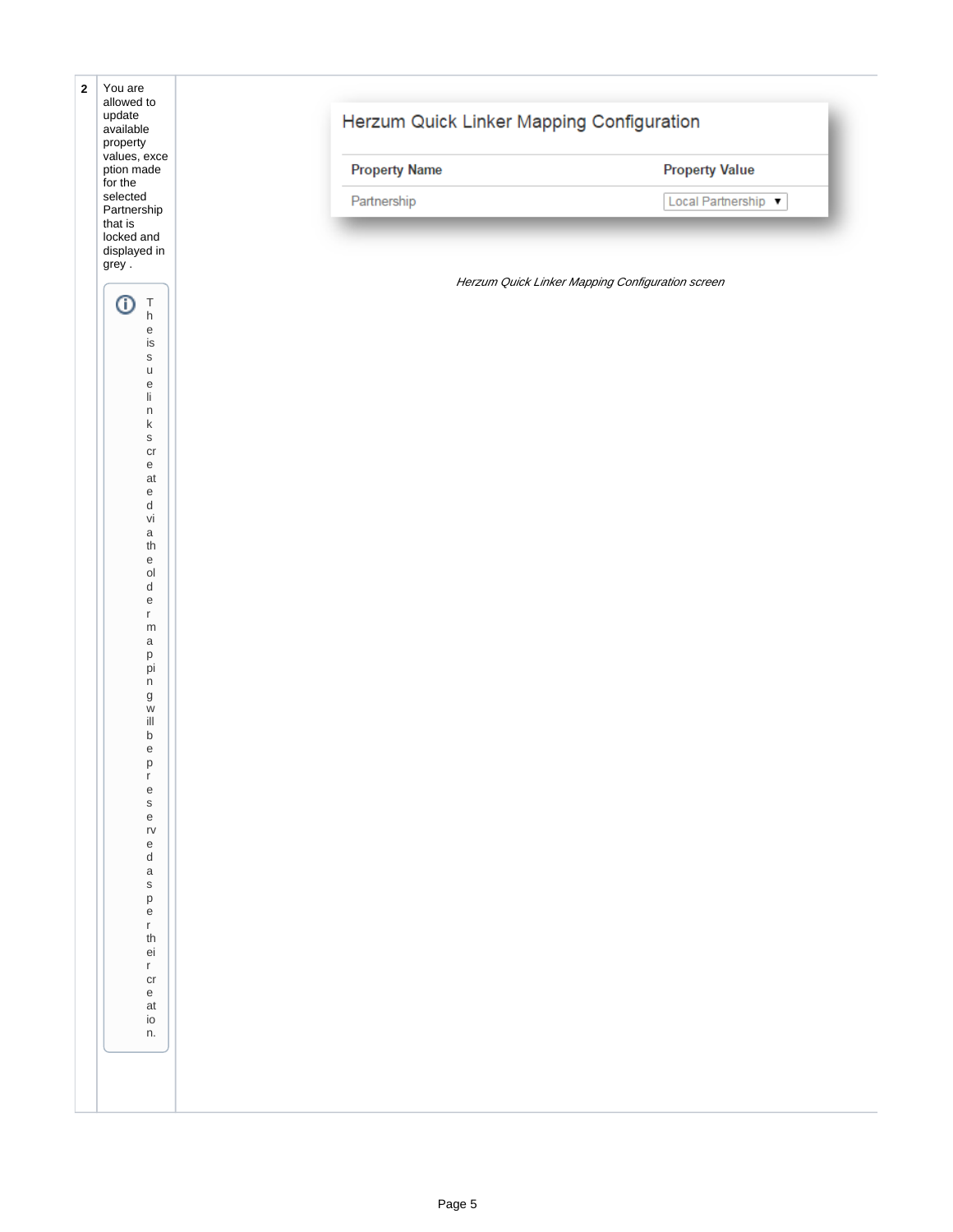| $\mathbf 2$ | You are<br>allowed to<br>update<br>available<br>property<br>values, exce<br>ption made<br>for the |                                           |                                                  |                       |  |
|-------------|---------------------------------------------------------------------------------------------------|-------------------------------------------|--------------------------------------------------|-----------------------|--|
|             |                                                                                                   | Herzum Quick Linker Mapping Configuration |                                                  |                       |  |
|             |                                                                                                   | <b>Property Name</b>                      |                                                  | <b>Property Value</b> |  |
|             | selected<br>Partnership                                                                           | Partnership                               |                                                  | Local Partnership     |  |
|             | that is<br>locked and<br>displayed in                                                             |                                           |                                                  |                       |  |
|             | grey.                                                                                             |                                           | Herzum Quick Linker Mapping Configuration screen |                       |  |
|             | ⊙<br>$\top$<br>h<br>e<br>is<br>$\mathsf S$<br>u<br>e<br>li<br>n<br>k                              |                                           |                                                  |                       |  |
|             |                                                                                                   |                                           |                                                  |                       |  |
|             |                                                                                                   |                                           |                                                  |                       |  |
|             |                                                                                                   |                                           |                                                  |                       |  |
|             | $\mathsf S$<br>$\operatorname{\sf cr}$                                                            |                                           |                                                  |                       |  |
|             | e<br>at<br>e                                                                                      |                                           |                                                  |                       |  |
|             | d<br>vi                                                                                           |                                           |                                                  |                       |  |
|             | $\mathsf a$<br>th<br>e                                                                            |                                           |                                                  |                       |  |
|             | $\mathsf{O}\mathsf{I}$<br>d                                                                       |                                           |                                                  |                       |  |
|             | e<br>r<br>${\sf m}$                                                                               |                                           |                                                  |                       |  |
|             | a<br>p<br>pi                                                                                      |                                           |                                                  |                       |  |
|             | n<br>g                                                                                            |                                           |                                                  |                       |  |
|             | W<br>ill<br>$\sf b$                                                                               |                                           |                                                  |                       |  |
|             | $\mathsf e$<br>p                                                                                  |                                           |                                                  |                       |  |
|             | $\mathsf{r}$<br>${\rm e}$<br>${\sf S}$                                                            |                                           |                                                  |                       |  |
|             | $\mathsf{e}% _{t}\left( t\right)$<br>$r\mathsf{v}$<br>e                                           |                                           |                                                  |                       |  |
|             | d<br>$\mathsf a$                                                                                  |                                           |                                                  |                       |  |
|             | $\mathsf S$<br>$\sf p$<br>$\mathsf{e}% _{t}\left( t\right)$                                       |                                           |                                                  |                       |  |
|             | $\mathsf{r}^-$<br>$^{\mbox{\scriptsize th}}$                                                      |                                           |                                                  |                       |  |
|             | ei<br>$\mathsf{r}^-$<br>$\operatorname{\sf cr}$                                                   |                                           |                                                  |                       |  |
|             | $\mathsf{e}% _{t}\left( t\right)$<br>at<br>io                                                     |                                           |                                                  |                       |  |
|             | n.                                                                                                |                                           |                                                  |                       |  |
|             |                                                                                                   |                                           |                                                  |                       |  |
|             |                                                                                                   |                                           |                                                  |                       |  |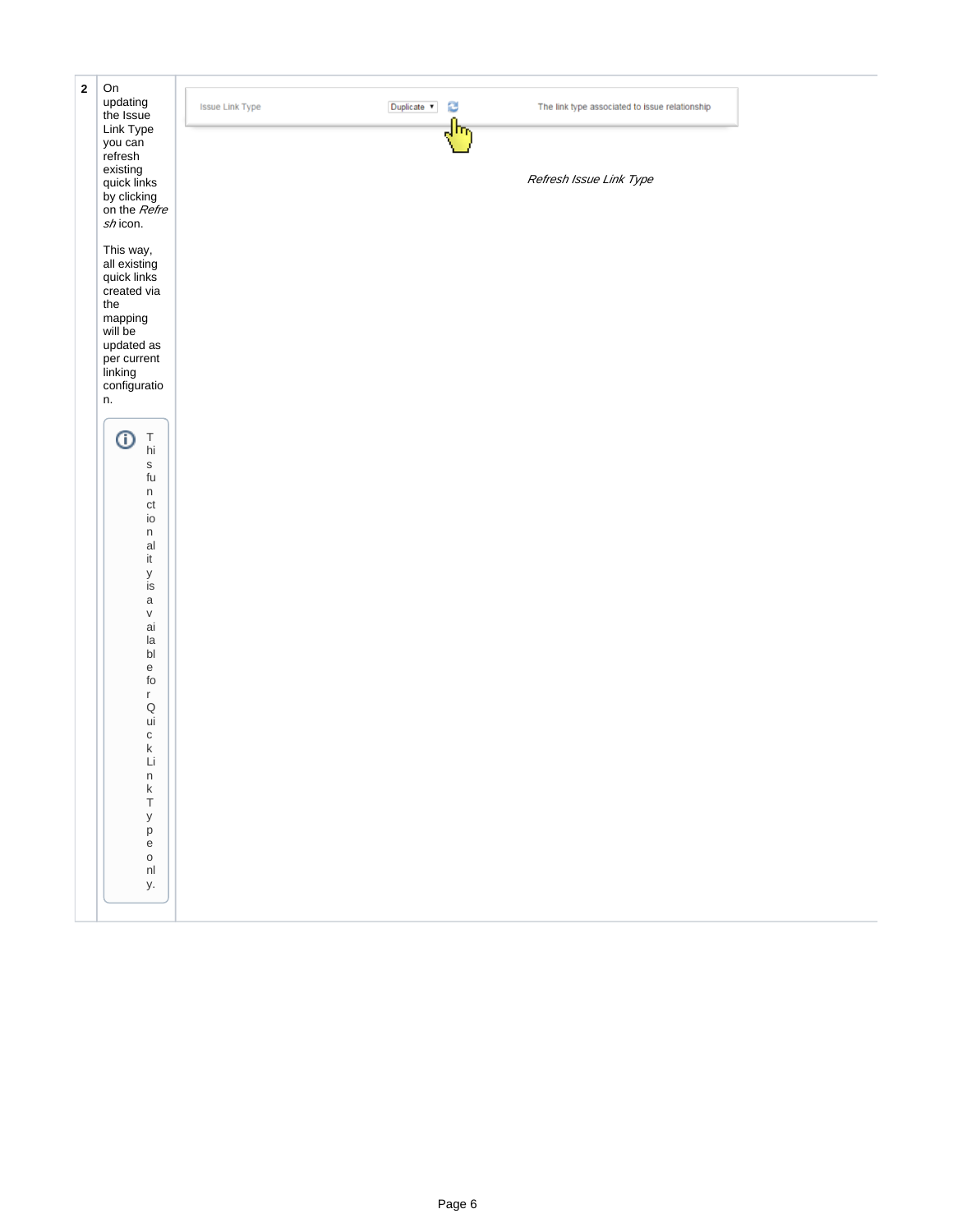| $\bf 2$ | On                                    |                                       |     |                                                |  |
|---------|---------------------------------------|---------------------------------------|-----|------------------------------------------------|--|
|         | updating                              | <b>Issue Link Type</b><br>Duplicate v | C   | The link type associated to issue relationship |  |
|         | the Issue                             |                                       | ᠗ᡰᠩ |                                                |  |
|         | Link Type<br>you can                  |                                       |     |                                                |  |
|         | refresh                               |                                       |     |                                                |  |
|         | existing<br>quick links               |                                       |     |                                                |  |
|         |                                       |                                       |     | Refresh Issue Link Type                        |  |
|         | by clicking<br>on the <i>Refre</i>    |                                       |     |                                                |  |
|         | shicon.                               |                                       |     |                                                |  |
|         |                                       |                                       |     |                                                |  |
|         | This way,                             |                                       |     |                                                |  |
|         | all existing                          |                                       |     |                                                |  |
|         | quick links                           |                                       |     |                                                |  |
|         | created via<br>the                    |                                       |     |                                                |  |
|         | mapping                               |                                       |     |                                                |  |
|         | will be                               |                                       |     |                                                |  |
|         | updated as                            |                                       |     |                                                |  |
|         | per current                           |                                       |     |                                                |  |
|         | linking<br>configuratio               |                                       |     |                                                |  |
|         | n.                                    |                                       |     |                                                |  |
|         |                                       |                                       |     |                                                |  |
|         | ⊙<br>$\top$                           |                                       |     |                                                |  |
|         | hi                                    |                                       |     |                                                |  |
|         | $\mathbb S$                           |                                       |     |                                                |  |
|         | $\operatorname{\mathsf{fu}}$<br>n     |                                       |     |                                                |  |
|         | $\mathsf{ct}$                         |                                       |     |                                                |  |
|         | io                                    |                                       |     |                                                |  |
|         | n                                     |                                       |     |                                                |  |
|         | al<br>it                              |                                       |     |                                                |  |
|         | У                                     |                                       |     |                                                |  |
|         | is                                    |                                       |     |                                                |  |
|         | $\mathsf a$                           |                                       |     |                                                |  |
|         | $\sf V$<br>ai                         |                                       |     |                                                |  |
|         | la                                    |                                       |     |                                                |  |
|         | $\mathsf{bl}$                         |                                       |     |                                                |  |
|         | $\mathsf{e}% _{t}\left( t\right)$     |                                       |     |                                                |  |
|         | $\operatorname{\sf fo}$<br>r          |                                       |     |                                                |  |
|         | $\mathsf Q$                           |                                       |     |                                                |  |
|         | ui                                    |                                       |     |                                                |  |
|         | $\mathtt{C}$                          |                                       |     |                                                |  |
|         | k<br>Li                               |                                       |     |                                                |  |
|         |                                       |                                       |     |                                                |  |
|         | $\begin{array}{c} n \\ k \end{array}$ |                                       |     |                                                |  |
|         | $\top$                                |                                       |     |                                                |  |
|         | $\mathsf{y}$<br>p                     |                                       |     |                                                |  |
|         | $\mathsf{e}% _{t}\left( t\right)$     |                                       |     |                                                |  |
|         | $\mathsf{o}$                          |                                       |     |                                                |  |
|         | $\mathsf{nl}$                         |                                       |     |                                                |  |
|         | у.                                    |                                       |     |                                                |  |
|         |                                       |                                       |     |                                                |  |
|         |                                       |                                       |     |                                                |  |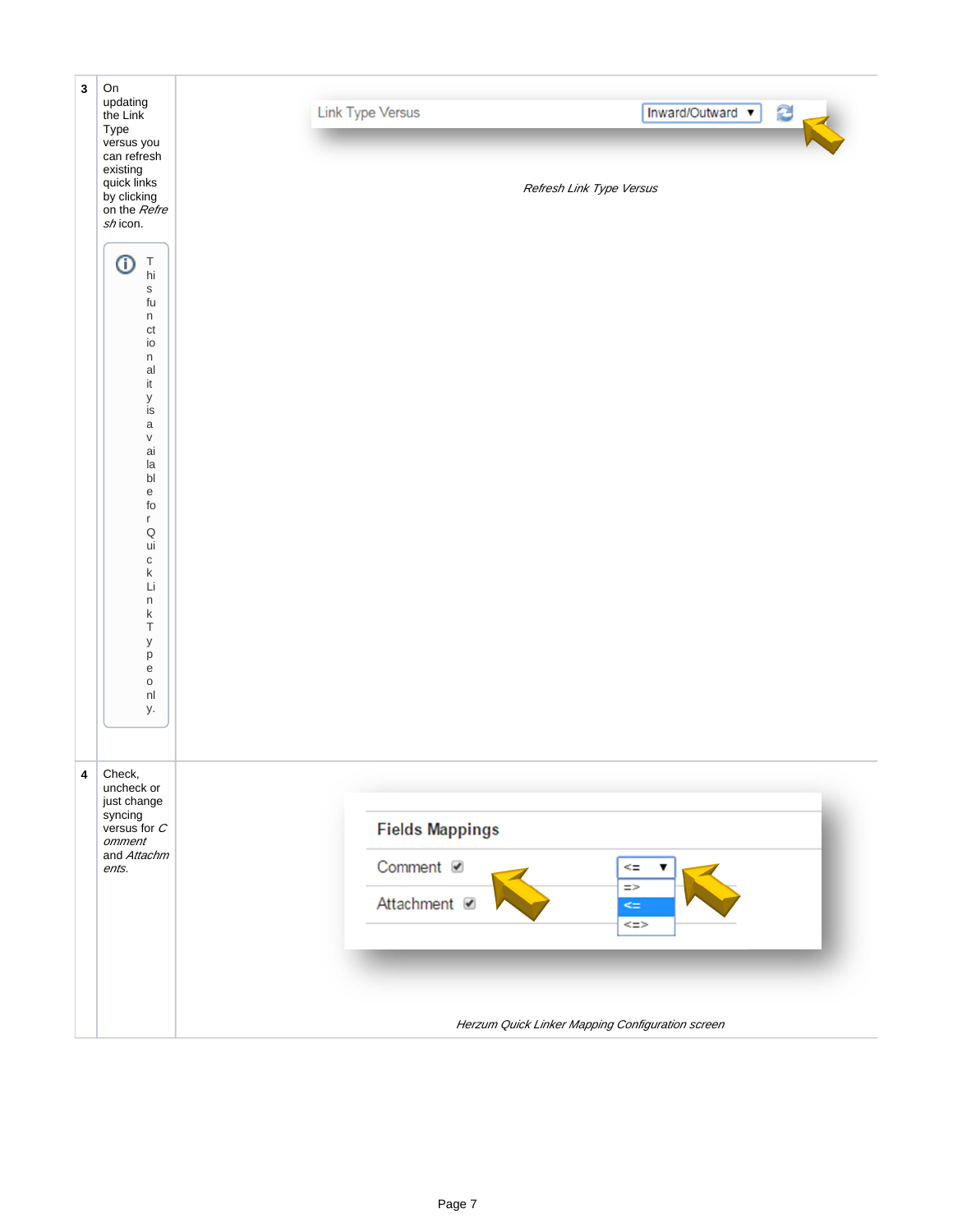| $\mathbf{3}$ | On<br>updating<br>the Link<br>Type                                                                                                                                                                                                                                                                                                                                                                                                                                        | Inward/Outward v<br><b>Link Type Versus</b>           |
|--------------|---------------------------------------------------------------------------------------------------------------------------------------------------------------------------------------------------------------------------------------------------------------------------------------------------------------------------------------------------------------------------------------------------------------------------------------------------------------------------|-------------------------------------------------------|
|              | versus you<br>can refresh<br>existing<br>quick links<br>by clicking<br>on the <i>Refre</i><br>shicon.                                                                                                                                                                                                                                                                                                                                                                     | Refresh Link Type Versus                              |
|              | ⊙<br>$\frac{\mathsf{T}}{\mathsf{hi}}$<br>$\mathsf S$<br>fu<br>n<br>$\mathsf{ct}$<br>io<br>n<br>al<br>$\operatorname{\sf it}$<br>у<br>is<br>$\mathsf a$<br>$\mathsf{V}$<br>ai<br>la<br>$\mathsf{bl}$<br>$\mathsf{e}% _{0}\left( \mathsf{e}\right)$<br>$\operatorname{\sf fo}$<br>$r_{\rm}$<br>$\mathsf Q$<br>ui<br>$\mathtt{C}$<br>$\sf k$<br>Li<br>$\sf n$<br>$\sf k$<br>$\top$<br>у<br>p<br>$\mathbf{e}% _{t}\left  \mathbf{1}\right\rangle$<br>$\mathsf{o}$<br>nl<br>у. |                                                       |
| 4            | Check,<br>uncheck or<br>just change<br>syncing<br>versus for $C$<br>omment                                                                                                                                                                                                                                                                                                                                                                                                | <b>Fields Mappings</b>                                |
|              | and Attachm<br>ents.                                                                                                                                                                                                                                                                                                                                                                                                                                                      | Comment <b>Ø</b><br>⋖≡<br>▼                           |
|              |                                                                                                                                                                                                                                                                                                                                                                                                                                                                           | $\Rightarrow$<br>Attachment <b>Ø</b><br>$\leq$<br><=> |
|              |                                                                                                                                                                                                                                                                                                                                                                                                                                                                           |                                                       |
|              |                                                                                                                                                                                                                                                                                                                                                                                                                                                                           | Herzum Quick Linker Mapping Configuration screen      |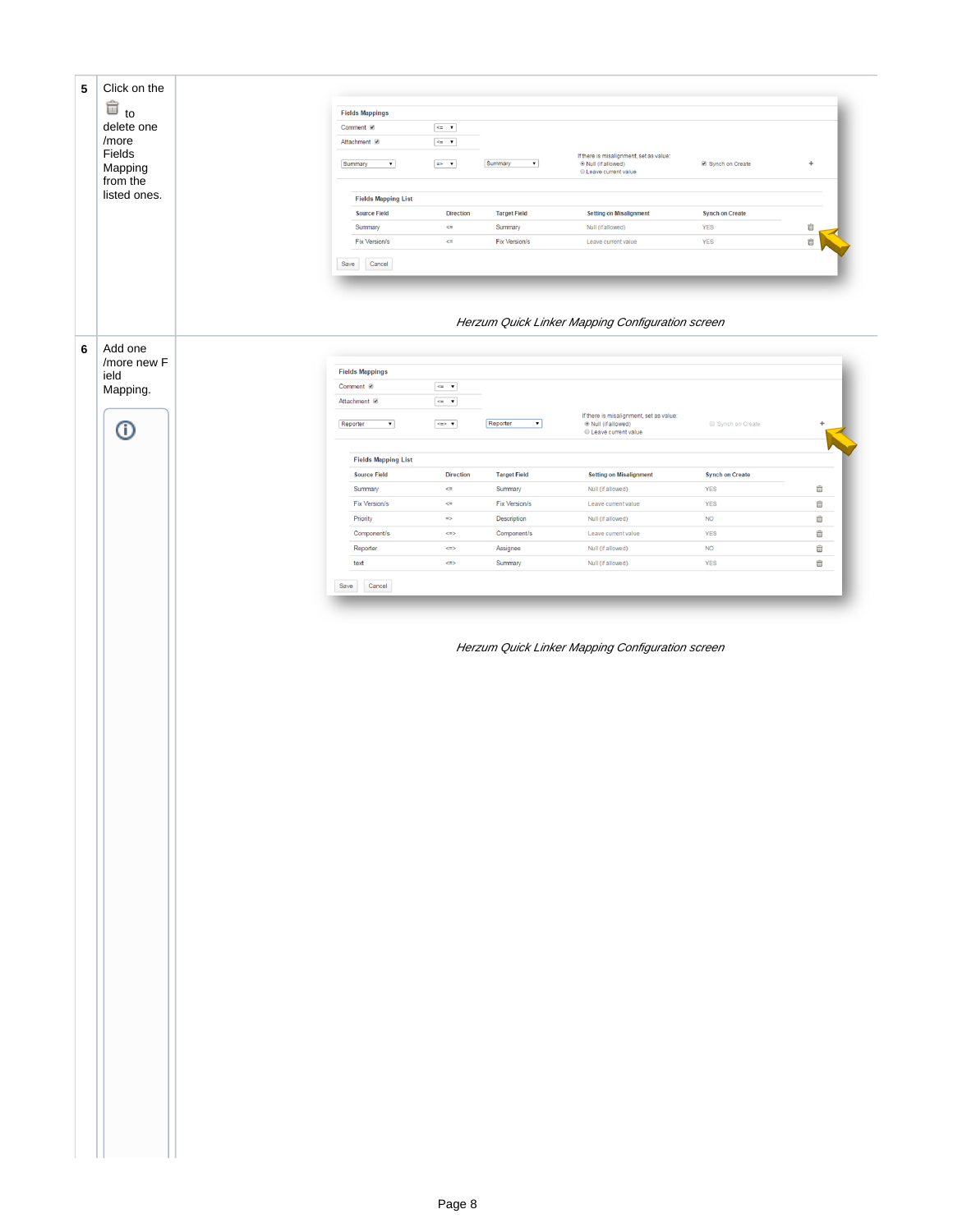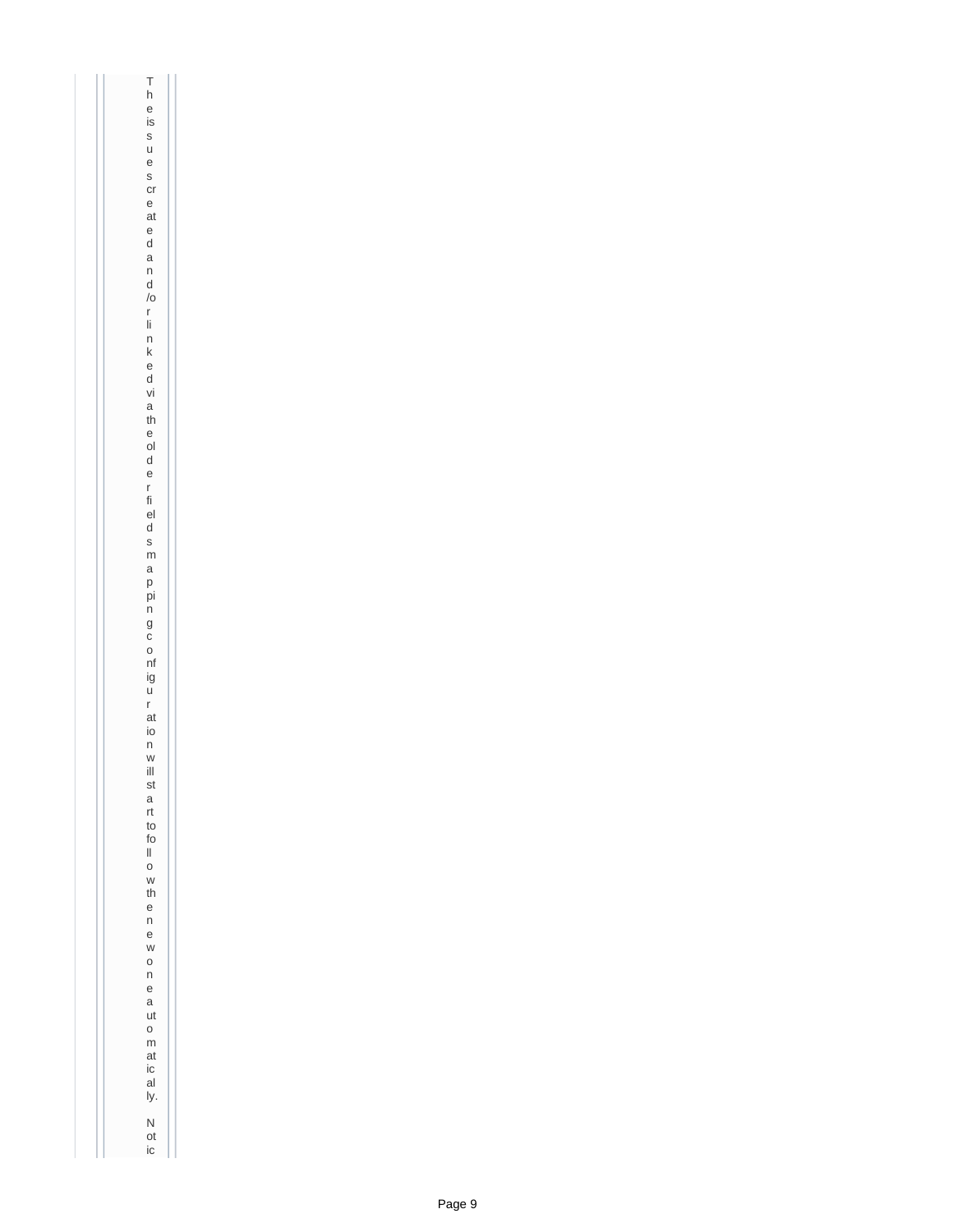Th e is<br>sue s cr e at e d<br>an<br>d /o r li<br>nke d vi a th e ol d<br>e r fi el d s<br>m<br>a<br>p pi n g<br>c<br>o nf ig<br>u<br>r at io n<br>w ill st a rt to fo ll<br>o<br>w th e n<br>e won e<br>a ut o<br>m at ic al ly. N ot ic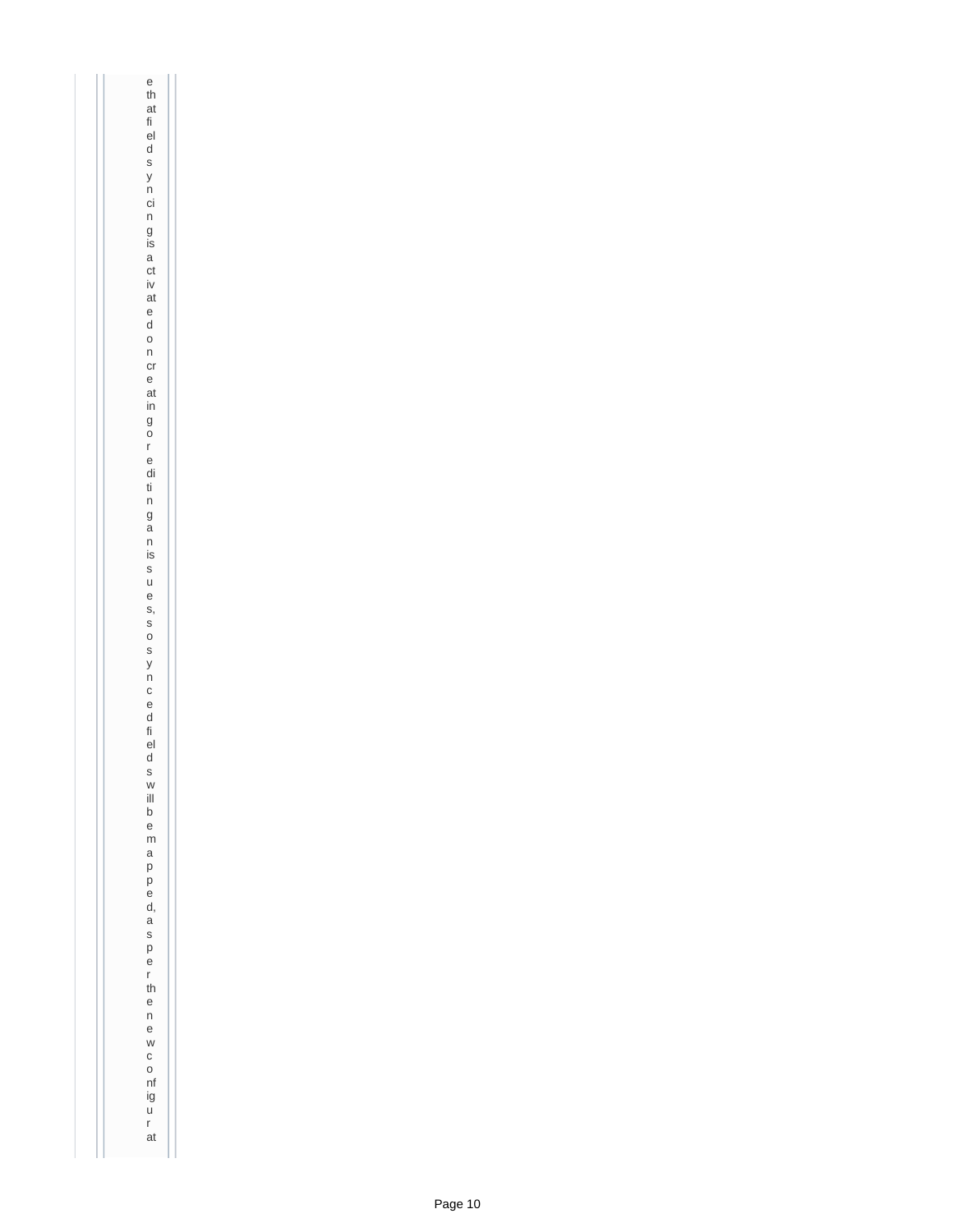e th at fi el d<br>s<br>n ci n g is<br>a ct iv at e d o n cr e at in g o r<br>e di ti<br>n g<br>a n is<br>sue s, s o s<br>y n<br>c<br>e d fi el d s<br>w ill b e m<br>a p<br>e d, a s<br>p<br>e r th e newco nf ig<br>u<br>r at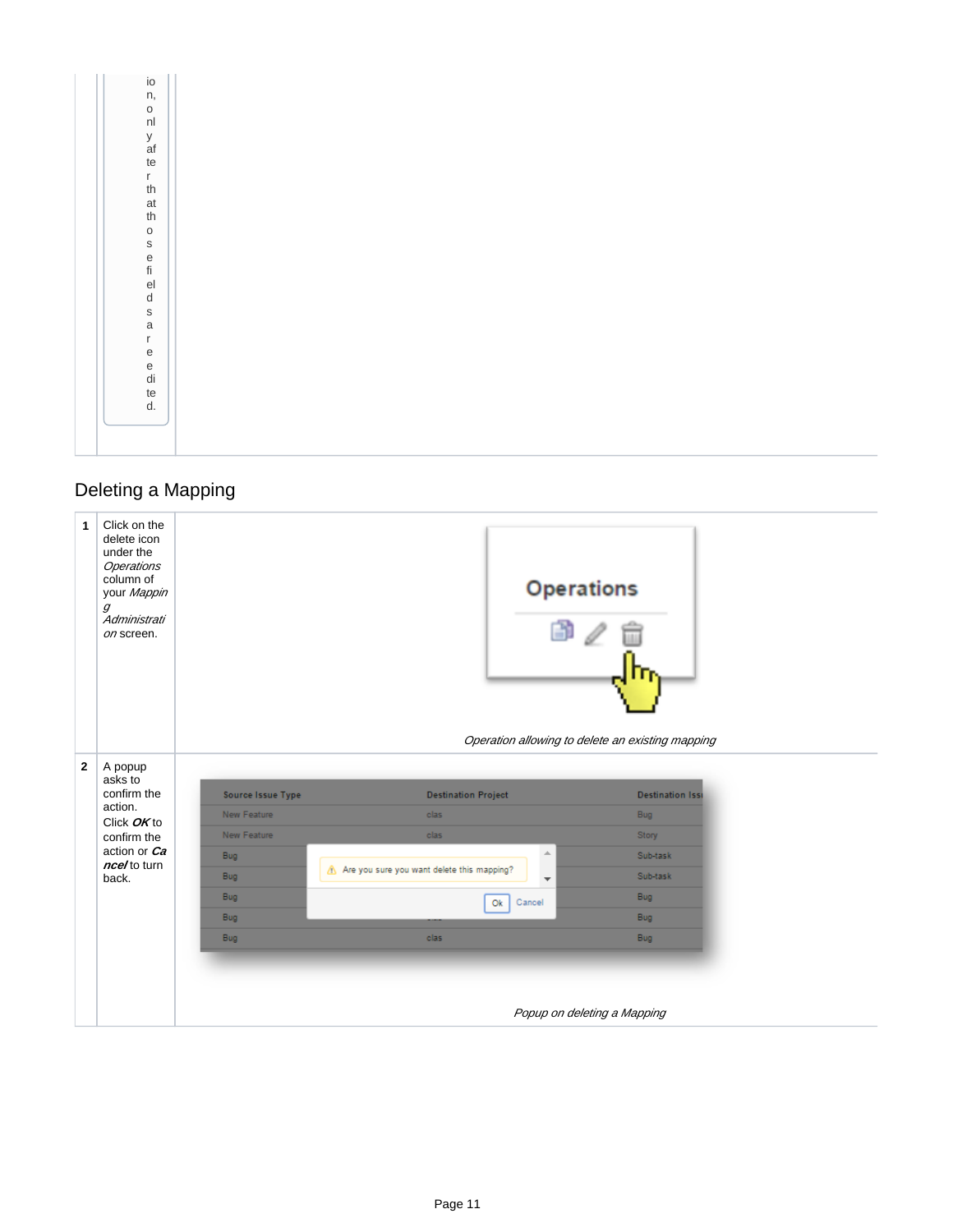|  | io      |
|--|---------|
|  | n,      |
|  | O       |
|  | nl      |
|  | У       |
|  | af      |
|  | te      |
|  | r       |
|  | th      |
|  | at      |
|  | th      |
|  | $\circ$ |
|  | S       |
|  | e       |
|  | fi      |
|  | el      |
|  | d       |
|  | S       |
|  | a       |
|  | r       |
|  | е       |
|  | e       |
|  | di      |
|  | te      |
|  | d.      |
|  |         |
|  |         |
|  |         |

## Deleting a Mapping

<span id="page-10-0"></span>